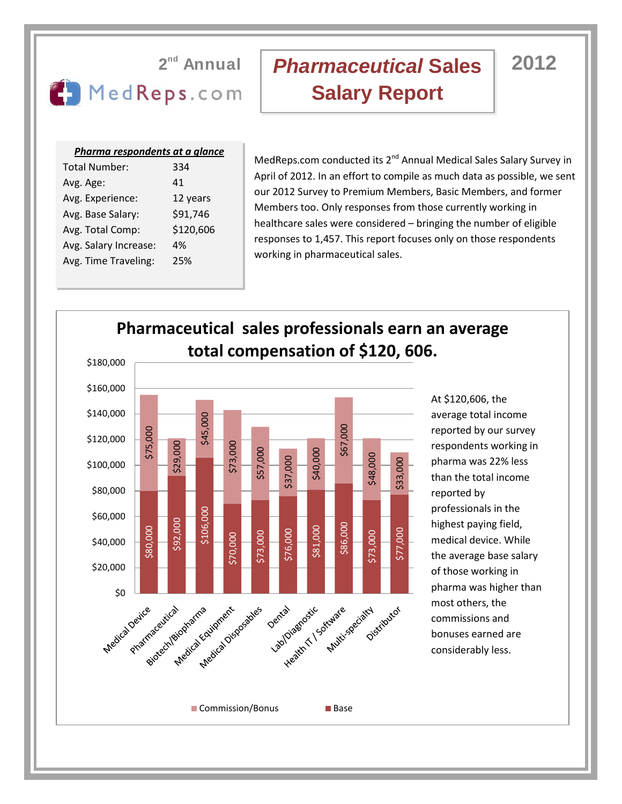## **2** MedReps.com

# *Pharmaceutical* **Sales 2012 Salary Report**

### *Pharma respondents at a glance*

| 334       |
|-----------|
| 41        |
| 12 years  |
| \$91,746  |
| \$120,606 |
| 4%        |
| 25%       |
|           |

MedReps.com conducted its 2<sup>nd</sup> Annual Medical Sales Salary Survey in April of 2012. In an effort to compile as much data as possible, we sent our 2012 Survey to Premium Members, Basic Members, and former Members too. Only responses from those currently working in healthcare sales were considered – bringing the number of eligible responses to 1,457. This report focuses only on those respondents working in pharmaceutical sales.

### **Pharmaceutical sales professionals earn an average total compensation of \$120, 606.** \$180,000 \$160,000 At \$120,606, the \$140,000 \$45,000 average total income \$67,000 reported by our survey \$75,000 \$120,000 \$73,000 \$29,000 respondents working in \$57,000 \$40,000 \$48,000 \$37,000 pharma was 22% less \$33,000 \$100,000 than the total income \$80,000 reported by professionals in the \$106,000 \$60,000 \$92,000 highest paying field, \$86,000 \$80,000 \$81,000 \$73,000 \$76,000 \$77,000 \$73,000 \$70,000 medical device. While \$40,000 the average base salary \$20,000 of those working in Leadin't I Socialist Specialist Co pharma was higher than So Leavice most others, the Phartmaceutical pratria Katightent Space commissions and bonuses earned are considerably less. ■ Commission/Bonus ■ Base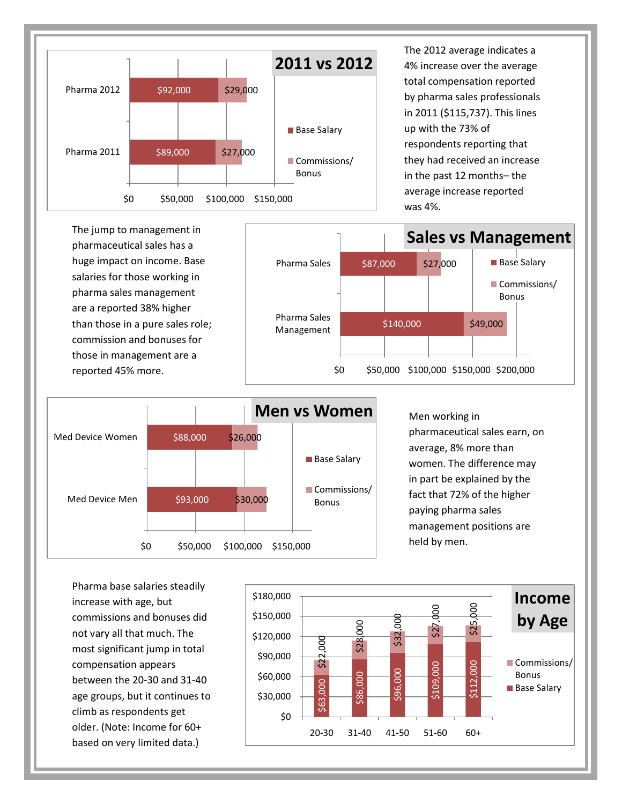

The 2012 average indicates a 4% increase over the average total compensation reported by pharma sales professionals in 2011 (\$115,737). This lines up with the 73% of respondents reporting that they had received an increase in the past 12 months– the average increase reported was 4%.





Men working in pharmaceutical sales earn, on average, 8% more than women. The difference may in part be explained by the fact that 72% of the higher paying pharma sales management positions are held by men.

Pharma base salaries steadily increase with age, but commissions and bonuses did not vary all that much. The most significant jump in total compensation appears between the 20-30 and 31-40 age groups, but it continues to climb as respondents get older. (Note: Income for 60+ based on very limited data.)